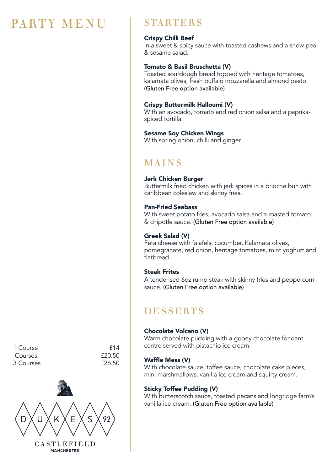# PARTY MENU | STARTERS

#### Crispy Chilli Beef

In a sweet & spicy sauce with toasted cashews and a snow pea & sesame salad.

### Tomato & Basil Bruschetta (V)

Toasted sourdough bread topped with heritage tomatoes, kalamata olives, fresh buffalo mozzarella and almond pesto. (Gluten Free option available)

### Crispy Buttermilk Halloumi (V)

With an avocado, tomato and red onion salsa and a paprikaspiced tortilla.

#### Sesame Soy Chicken Wings

With spring onion, chilli and ginger.

# MAINS

#### Jerk Chicken Burger

Buttermilk fried chicken with jerk spices in a brioche bun with caribbean coleslaw and skinny fries.

#### Pan-Fried Seabass

With sweet potato fries, avocado salsa and a roasted tomato & chipotle sauce. (Gluten Free option available)

#### Greek Salad (V)

Feta cheese with falafels, cucumber, Kalamata olives, pomegranate, red onion, heritage tomatoes, mint yoghurt and flatbread.

#### Steak Frites

A tenderised 6oz rump steak with skinny fries and peppercorn sauce. (Gluten Free option available)

## **DESSERTS**

#### Chocolate Volcano (V)

Warm chocolate pudding with a gooey chocolate fondant centre served with pistachio ice cream.

#### Waffle Mess (V)

With chocolate sauce, toffee sauce, chocolate cake pieces, mini marshmallows, vanilla ice cream and squirty cream.

#### Sticky Toffee Pudding (V)

With butterscotch sauce, toasted pecans and longridge farm's vanilla ice cream. (Gluten Free option available)

1 Course **12** E14 Courses £20.50 3 Courses £26.50